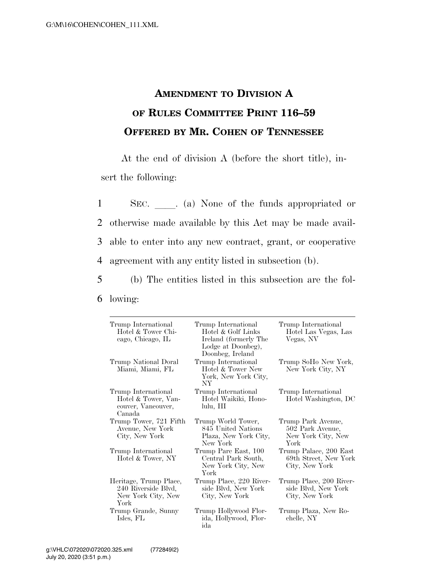## **AMENDMENT TO DIVISION A OF RULES COMMITTEE PRINT 116–59 OFFERED BY MR. COHEN OF TENNESSEE**

At the end of division A (before the short title), insert the following:

1 SEC. a) None of the funds appropriated or otherwise made available by this Act may be made avail- able to enter into any new contract, grant, or cooperative agreement with any entity listed in subsection (b).

5 (b) The entities listed in this subsection are the fol-6 lowing:

| Trump International<br>Hotel & Tower Chi-<br>cago, Chicago, IL              | Trump International<br>Hotel & Golf Links<br>Ireland (formerly The<br>Lodge at Doonbeg),<br>Doonbeg, Ireland | Trump International<br>Hotel Las Vegas, Las<br>Vegas, NV             |
|-----------------------------------------------------------------------------|--------------------------------------------------------------------------------------------------------------|----------------------------------------------------------------------|
| Trump National Doral<br>Miami, Miami, FL                                    | Trump International<br>Hotel & Tower New<br>York, New York City,<br>NY <sub></sub>                           | Trump SoHo New York,<br>New York City, NY                            |
| Trump International<br>Hotel & Tower, Van-<br>couver, Vancouver,<br>Canada  | Trump International<br>Hotel Waikiki, Hono-<br>lulu, HI                                                      | Trump International<br>Hotel Washington, DC                          |
| Trump Tower, 721 Fifth<br>Avenue, New York<br>City, New York                | Trump World Tower,<br>845 United Nations<br>Plaza, New York City,<br>New York                                | Trump Park Avenue,<br>502 Park Avenue,<br>New York City, New<br>York |
| Trump International<br>Hotel & Tower, NY                                    | Trump Parc East, 100<br>Central Park South,<br>New York City, New<br>York                                    | Trump Palace, 200 East<br>69th Street, New York<br>City, New York    |
| Heritage, Trump Place,<br>240 Riverside Blvd,<br>New York City, New<br>York | Trump Place, 220 River-<br>side Blvd, New York<br>City, New York                                             | Trump Place, 200 River-<br>side Blvd, New York<br>City, New York     |
| Trump Grande, Sunny<br>Isles, FL                                            | Trump Hollywood Flor-<br>ida, Hollywood, Flor-<br>ida                                                        | Trump Plaza, New Ro-<br>chelle, NY                                   |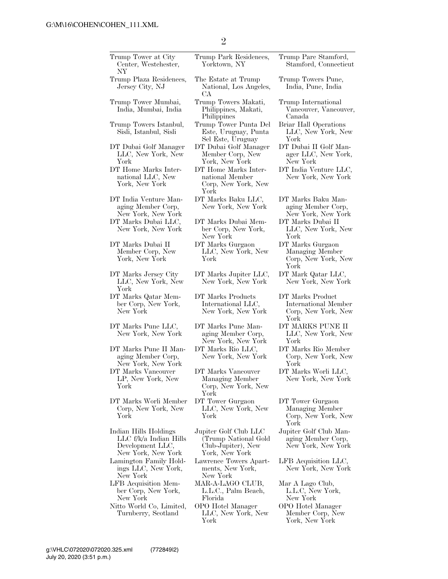| Trump Tower at City<br>Center, Westchester,<br>NY                                           | Trump Park Residences,<br>Yorktown, NY                                                | Trump Pare Stamford,<br>Stamford, Connecticut                           |
|---------------------------------------------------------------------------------------------|---------------------------------------------------------------------------------------|-------------------------------------------------------------------------|
| Trump Plaza Residences,<br>Jersey City, NJ                                                  | The Estate at Trump<br>National, Los Angeles,<br>CА                                   | Trump Towers Pune,<br>India, Pune, India                                |
| Trump Tower Mumbai,<br>India, Mumbai, India                                                 | Trump Towers Makati,<br>Philippines, Makati,<br>Philippines                           | Trump International<br>Vancouver, Vancouver,<br>Canada                  |
| Trump Towers Istanbul,<br>Sisli, Istanbul, Sisli                                            | Trump Tower Punta Del<br>Este, Uruguay, Punta<br>Sel Este, Uruguay                    | Briar Hall Operations<br>LLC, New York, New<br>York                     |
| DT Dubai Golf Manager<br>LLC, New York, New<br>York                                         | DT Dubai Golf Manager<br>Member Corp, New<br>York, New York                           | DT Dubai II Golf Man-<br>ager LLC, New York,<br>New York                |
| DT Home Marks Inter-<br>national LLC, New<br>York, New York                                 | DT Home Marks Inter-<br>national Member<br>Corp, New York, New<br>York                | DT India Venture LLC,<br>New York, New York                             |
| DT India Venture Man-<br>aging Member Corp,<br>New York, New York                           | DT Marks Baku LLC,<br>New York, New York                                              | DT Marks Baku Man-<br>aging Member Corp,<br>New York, New York          |
| DT Marks Dubai LLC,<br>New York, New York                                                   | DT Marks Dubai Mem-<br>ber Corp, New York,<br>New York                                | DT Marks Dubai II<br>LLC, New York, New<br>York                         |
| DT Marks Dubai II<br>Member Corp, New<br>York, New York                                     | DT Marks Gurgaon<br>LLC, New York, New<br>York                                        | DT Marks Gurgaon<br>Managing Member<br>Corp, New York, New<br>York      |
| DT Marks Jersey City<br>LLC, New York, New<br>York                                          | DT Marks Jupiter LLC,<br>New York, New York                                           | DT Mark Qatar LLC,<br>New York, New York                                |
| DT Marks Qatar Mem-<br>ber Corp, New York,<br>New York                                      | DT Marks Products<br>International LLC,<br>New York, New York                         | DT Marks Product<br>International Member<br>Corp, New York, New<br>York |
| DT Marks Pune LLC,<br>New York, New York                                                    | DT Marks Pune Man-<br>aging Member Corp,<br>New York, New York                        | DT MARKS PUNE II<br>LLC, New York, New<br>York                          |
| DT Marks Pune II Man-<br>aging Member Corp,<br>New York, New York                           | DT Marks Rio LLC,<br>New York, New York                                               | DT Marks Rio Member<br>Corp, New York, New<br>York                      |
| DT Marks Vancouver<br>LP, New York, New<br>York                                             | DT Marks Vancouver<br>Managing Member<br>Corp, New York, New<br>York                  | DT Marks Worli LLC,<br>New York, New York                               |
| DT Marks Worli Member<br>Corp, New York, New<br>York                                        | DT Tower Gurgaon<br>LLC, New York, New<br>York                                        | DT Tower Gurgaon<br>Managing Member<br>Corp, New York, New<br>York      |
| Indian Hills Holdings<br>$LLC f/k/a$ Indian Hills<br>Development LLC,<br>New York, New York | Jupiter Golf Club LLC<br>(Trump National Gold<br>Club-Jupiter), New<br>York, New York | Jupiter Golf Club Man-<br>aging Member Corp,<br>New York, New York      |
| Lamington Family Hold-<br>ings LLC, New York,<br>New York                                   | Lawrence Towers Apart-<br>ments, New York,<br>New York                                | LFB Acquisition LLC,<br>New York, New York                              |
| LFB Acquisition Mem-<br>ber Corp, New York,<br>New York                                     | MAR-A-LAGO CLUB,<br>L.L.C., Palm Beach,<br>Florida                                    | Mar A Lago Club,<br>L.L.C, New York,<br>New York                        |
| Nitto World Co, Limited,<br>Turnberry, Scotland                                             | OPO Hotel Manager<br>LLC, New York, New<br>York                                       | OPO Hotel Manager<br>Member Corp, New<br>York, New York                 |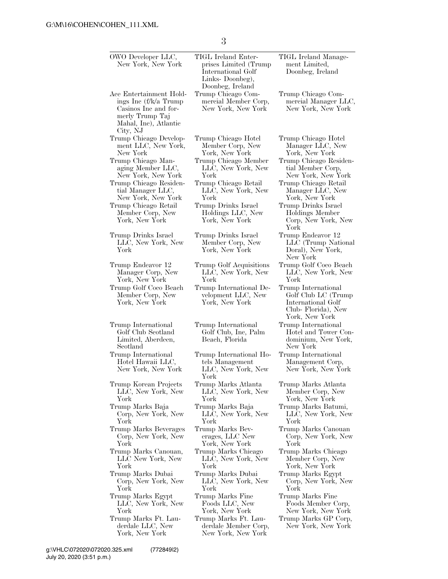3

| OWO Developer LLC,<br>New York, New York                                                                                         | TIGL Ireland Enter-<br>prises Limited (Trump)<br>International Golf<br>Links-Doonbeg), | TIGL Ireland Manage-<br>ment Limited,<br>Doonbeg, Ireland                                                |
|----------------------------------------------------------------------------------------------------------------------------------|----------------------------------------------------------------------------------------|----------------------------------------------------------------------------------------------------------|
| Ace Entertainment Hold-<br>ings Inc (f/k/a Trump<br>Casinos Inc and for-<br>merly Trump Taj<br>Mahal, Inc), Atlantic<br>City, NJ | Doonbeg, Ireland<br>Trump Chicago Com-<br>mercial Member Corp,<br>New York, New York   | Trump Chicago Com-<br>mercial Manager LLC,<br>New York, New York                                         |
| Trump Chicago Develop-                                                                                                           | Trump Chicago Hotel                                                                    | Trump Chicago Hotel                                                                                      |
| ment LLC, New York,                                                                                                              | Member Corp, New                                                                       | Manager LLC, New                                                                                         |
| New York                                                                                                                         | York, New York                                                                         | York, New York                                                                                           |
| Trump Chicago Man-                                                                                                               | Trump Chicago Member                                                                   | Trump Chicago Residen-                                                                                   |
| aging Member LLC,                                                                                                                | LLC, New York, New                                                                     | tial Member Corp,                                                                                        |
| New York, New York                                                                                                               | York                                                                                   | New York, New York                                                                                       |
| Trump Chicago Residen-                                                                                                           | Trump Chicago Retail                                                                   | Trump Chicago Retail                                                                                     |
| tial Manager LLC,                                                                                                                | LLC, New York, New                                                                     | Manager LLC, New                                                                                         |
| New York, New York                                                                                                               | York                                                                                   | York, New York                                                                                           |
| Trump Chicago Retail<br>Member Corp, New<br>York, New York                                                                       | Trump Drinks Israel<br>Holdings LLC, New<br>York, New York                             | Trump Drinks Israel<br>Holdings Member<br>Corp, New York, New<br>York                                    |
| Trump Drinks Israel<br>LLC, New York, New<br>York                                                                                | Trump Drinks Israel<br>Member Corp, New<br>York, New York                              | Trump Endeavor 12<br>LLC (Trump National<br>Doral), New York,<br>New York                                |
| Trump Endeavor 12                                                                                                                | Trump Golf Acquisitions                                                                | Trump Golf Coco Beach                                                                                    |
| Manager Corp, New                                                                                                                | LLC, New York, New                                                                     | LLC, New York, New                                                                                       |
| York, New York                                                                                                                   | York                                                                                   | York                                                                                                     |
| Trump Golf Coco Beach<br>Member Corp, New<br>York, New York                                                                      | Trump International De-<br>velopment LLC, New<br>York, New York                        | Trump International<br>Golf Club LC (Trump<br>International Golf<br>Club-Florida), New<br>York, New York |
| Trump International<br>Golf Club Scotland<br>Limited, Aberdeen,<br>Scotland                                                      | Trump International<br>Golf Club, Inc, Palm<br>Beach, Florida                          | Trump International<br>Hotel and Tower Con-<br>dominium, New York,<br>New York                           |
| Trump International<br>Hotel Hawaii LLC,<br>New York, New York                                                                   | Trump International Ho-<br>tels Management<br>LLC, New York, New<br>York               | Trump International<br>Management Corp,<br>New York, New York                                            |
| Trump Korean Projects                                                                                                            | Trump Marks Atlanta                                                                    | Trump Marks Atlanta                                                                                      |
| LLC, New York, New                                                                                                               | LLC, New York, New                                                                     | Member Corp, New                                                                                         |
| York                                                                                                                             | York                                                                                   | York, New York                                                                                           |
| Trump Marks Baja                                                                                                                 | Trump Marks Baja                                                                       | Trump Marks Batumi,                                                                                      |
| Corp, New York, New                                                                                                              | LLC, New York, New                                                                     | LLC, New York, New                                                                                       |
| York                                                                                                                             | York                                                                                   | York                                                                                                     |
| Trump Marks Beverages                                                                                                            | Trump Marks Bev-                                                                       | Trump Marks Canouan                                                                                      |
| Corp, New York, New                                                                                                              | erages, LLC New                                                                        | Corp, New York, New                                                                                      |
| York                                                                                                                             | York, New York                                                                         | York                                                                                                     |
| Trump Marks Canouan,                                                                                                             | Trump Marks Chicago                                                                    | Trump Marks Chicago                                                                                      |
| LLC New York, New                                                                                                                | LLC, New York, New                                                                     | Member Corp, New                                                                                         |
| York                                                                                                                             | York                                                                                   | York, New York                                                                                           |
| Trump Marks Dubai                                                                                                                | Trump Marks Dubai                                                                      | Trump Marks Egypt                                                                                        |
| Corp, New York, New                                                                                                              | LLC, New York, New                                                                     | Corp, New York, New                                                                                      |
| York                                                                                                                             | York                                                                                   | York                                                                                                     |
| Trump Marks Egypt                                                                                                                | Trump Marks Fine                                                                       | Trump Marks Fine                                                                                         |
| LLC, New York, New                                                                                                               | Foods LLC, New                                                                         | Foods Member Corp,                                                                                       |
| York                                                                                                                             | York, New York                                                                         | New York, New York                                                                                       |
| Trump Marks Ft. Lau-<br>derdale LLC, New<br>York, New York                                                                       | Trump Marks Ft. Lau-<br>derdale Member Corp,<br>New York, New York                     | Trump Marks GP Corp,<br>New York, New York                                                               |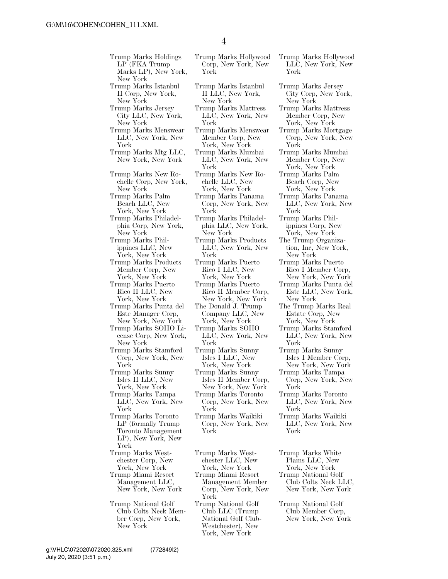| Trump Marks Holdings<br>LP (FKA Trump)<br>Marks LP), New York,<br>New York                     | Trump Marks Hollywood<br>Corp, New York, New<br>York                                                  | Trump Marks Hollywood<br>LLC, New York, New<br>York               |
|------------------------------------------------------------------------------------------------|-------------------------------------------------------------------------------------------------------|-------------------------------------------------------------------|
| Trump Marks Istanbul                                                                           | Trump Marks Istanbul                                                                                  | Trump Marks Jersey                                                |
| II Corp, New York,                                                                             | II LLC, New York,                                                                                     | City Corp, New York,                                              |
| New York                                                                                       | New York                                                                                              | New York                                                          |
| Trump Marks Jersey                                                                             | Trump Marks Mattress                                                                                  | Trump Marks Mattress                                              |
| City LLC, New York,                                                                            | LLC, New York, New                                                                                    | Member Corp, New                                                  |
| New York                                                                                       | York                                                                                                  | York, New York                                                    |
| Trump Marks Menswear                                                                           | Trump Marks Menswear                                                                                  | Trump Marks Mortgage                                              |
| LLC, New York, New                                                                             | Member Corp, New                                                                                      | Corp, New York, New                                               |
| York                                                                                           | York, New York                                                                                        | York                                                              |
| Trump Marks Mtg LLC,<br>New York, New York                                                     | Trump Marks Mumbai<br>LLC, New York, New<br>York                                                      | Trump Marks Mumbai<br>Member Corp, New<br>York, New York          |
| Trump Marks New Ro-                                                                            | Trump Marks New Ro-                                                                                   | Trump Marks Palm                                                  |
| chelle Corp, New York,                                                                         | chelle LLC, New                                                                                       | Beach Corp, New                                                   |
| New York                                                                                       | York, New York                                                                                        | York, New York                                                    |
| Trump Marks Palm                                                                               | Trump Marks Panama                                                                                    | Trump Marks Panama                                                |
| Beach LLC, New                                                                                 | Corp, New York, New                                                                                   | LLC, New York, New                                                |
| York, New York                                                                                 | York                                                                                                  | York                                                              |
| Trump Marks Philadel-                                                                          | Trump Marks Philadel-                                                                                 | Trump Marks Phil-                                                 |
| phia Corp, New York,                                                                           | phia LLC, New York,                                                                                   | ippines Corp, New                                                 |
| New York                                                                                       | New York                                                                                              | York, New York                                                    |
| Trump Marks Phil-                                                                              | Trump Marks Products                                                                                  | The Trump Organiza-                                               |
| ippines LLC, New                                                                               | LLC, New York, New                                                                                    | tion, Inc, New York,                                              |
| York, New York                                                                                 | York                                                                                                  | New York                                                          |
| Trump Marks Products                                                                           | Trump Marks Puerto                                                                                    | Trump Marks Puerto                                                |
| Member Corp, New                                                                               | Rico I LLC, New                                                                                       | Rico I Member Corp,                                               |
| York, New York                                                                                 | York, New York                                                                                        | New York, New York                                                |
| Trump Marks Puerto                                                                             | Trump Marks Puerto                                                                                    | Trump Marks Punta del                                             |
| Rico II LLC, New                                                                               | Rico II Member Corp,                                                                                  | Este LLC, New York,                                               |
| York, New York                                                                                 | New York, New York                                                                                    | New York                                                          |
| Trump Marks Punta del                                                                          | The Donald J. Trump                                                                                   | The Trump Marks Real                                              |
| Este Manager Corp,                                                                             | Company LLC, New                                                                                      | Estate Corp, New                                                  |
| New York, New York                                                                             | York, New York                                                                                        | York, New York                                                    |
| Trump Marks SOHO Li-                                                                           | Trump Marks SOHO                                                                                      | Trump Marks Stamford                                              |
| cense Corp, New York,                                                                          | LLC, New York, New                                                                                    | LLC, New York, New                                                |
| New York                                                                                       | York                                                                                                  | York                                                              |
| Trump Marks Stamford                                                                           | Trump Marks Sunny                                                                                     | Trump Marks Sunny                                                 |
| Corp, New York, New                                                                            | Isles I LLC, New                                                                                      | Isles I Member Corp,                                              |
| York                                                                                           | York, New York                                                                                        | New York, New York                                                |
| Trump Marks Sunny                                                                              | Trump Marks Sunny                                                                                     | Trump Marks Tampa                                                 |
| Isles II LLC, New                                                                              | Isles II Member Corp,                                                                                 | Corp, New York, New                                               |
| York, New York                                                                                 | New York, New York                                                                                    | York                                                              |
| Trump Marks Tampa                                                                              | Trump Marks Toronto                                                                                   | Trump Marks Toronto                                               |
| LLC, New York, New                                                                             | Corp, New York, New                                                                                   | LLC, New York, New                                                |
| York                                                                                           | York                                                                                                  | York                                                              |
| Trump Marks Toronto<br>LP (formally Trump)<br>Toronto Management<br>LP), New York, New<br>York | Trump Marks Waikiki<br>Corp, New York, New<br>York                                                    | Trump Marks Waikiki<br>LLC, New York, New<br>York                 |
| Trump Marks West-                                                                              | Trump Marks West-                                                                                     | Trump Marks White                                                 |
| chester Corp, New                                                                              | chester LLC, New                                                                                      | Plains LLC, New                                                   |
| York, New York                                                                                 | York, New York                                                                                        | York, New York                                                    |
| Trump Miami Resort<br>Management LLC,<br>New York, New York                                    | Trump Miami Resort<br>Management Member<br>Corp, New York, New<br>York                                | Trump National Golf<br>Club Colts Neck LLC,<br>New York, New York |
| Trump National Golf<br>Club Colts Neck Mem-<br>ber Corp, New York,<br>New York                 | Trump National Golf<br>Club LLC (Trump)<br>National Golf Club-<br>Westchester), New<br>York, New York | Trump National Golf<br>Club Member Corp,<br>New York, New York    |

Marks Jersey Corp, New York, York  ${\rm Marks}$  Mattress nber Corp, New York, New York Marks Mortgage p, New York, New York Marks Mumbai nber Corp, New York, New York Marks Palm ch Corp, New York, New York Marks Panama C, New York, New York Marks Philnes Corp, New York, New York rump Organiza-Inc, New York, York Marks Puerto I Member Corp, New York, New York Marks Punta del LLC, New York, York rump Marks Real ate Čorp, New York, New York Marks Stamford C, New York, New York Marks Sunny I Member Corp, New York, New York Marks Tampa p, New York, New York Marks Toronto C, New York, New York Marks Waikiki C, New York, New York Marks White ns LLC, New York, New York National Golf Colts Neck LLC,

## July 20, 2020 (3:51 p.m.) g:\VHLC\072020\072020.325.xml (772849|2)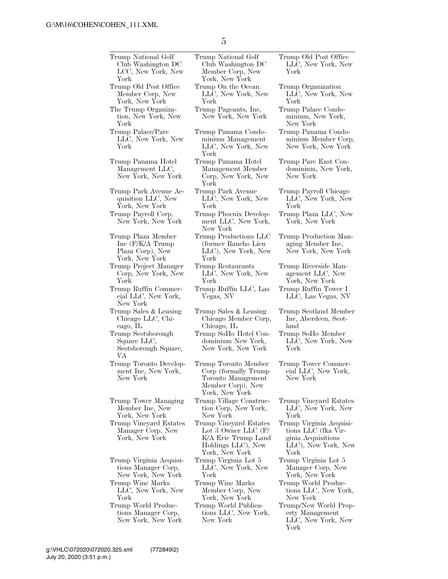| Trump National Golf     | Trump National Golf     |
|-------------------------|-------------------------|
| Club Washington DC      | Club Washington DC      |
| LCC, New York, New      | Member Corp, New        |
| York                    | York, New York          |
| Trump Old Post Office   | Trump On the Ocean      |
| Member Corp, New        | LLC, New York, New      |
| York, New York          | York                    |
| The Trump Organiza-     | Trump Pageants, Inc,    |
| tion, New York, New     | New York, New York      |
| York                    |                         |
| Trump Palace/Parc       | Trump Panama Condo-     |
| LLC, New York, New      | minium Management       |
| York                    | LLC, New York, New      |
|                         | York                    |
| Trump Panama Hotel      | Trump Panama Hotel      |
| Management LLC,         | Management Member       |
| New York, New York      | Corp, New York, New     |
|                         | York                    |
| Trump Park Avenue Ac-   | Trump Park Avenue       |
| quisition LLC, New      | LLC, New York, New      |
| York, New York          | York                    |
| Trump Payroll Corp,     | Trump Phoenix Develop-  |
| New York, New York      | ment LLC, New York,     |
|                         | New York                |
| Trump Plaza Member      | Trump Productions LLC   |
| Inc (F/K/A Trump)       | (former Rancho Lien     |
| Plaza Corp), New        | LLC), New York, New     |
| York, New York          | York                    |
| Trump Project Manager   | Trump Restaurants       |
| Corp, New York, New     | LLC, New York, New      |
| York                    | York                    |
| Trump Ruffin Commer-    | Trump Ruffin LLC, Las   |
| cial LLC, New York,     | Vegas, NV               |
| New York                |                         |
| Trump Sales & Leasing   | Trump Sales & Leasing   |
| Chicago LLC, Chi-       | Chicago Member Corp,    |
| cago, IL                | Chicago, IL             |
| Trump Scotsborough      | Trump SoHo Hotel Con-   |
| Square LLC,             | dominium New York,      |
| Scotsborough Square,    | New York, New York      |
| VА                      |                         |
| Trump Toronto Develop-  | Trump Toronto Member    |
| ment Inc, New York,     | Corp (formally Trump)   |
| New York                | Toronto Management      |
|                         | Member Corp), New       |
|                         | York, New York          |
| Trump Tower Managing    | Trump Village Construc- |
| Member Inc, New         | tion Corp, New York,    |
| York, New York          | New York                |
| Trump Vineyard Estates  | Trump Vineyard Estates  |
| Manager Corp, New       | Lot 3 Owner LLC $(F)$   |
| York, New York          | K/A Eric Trump Land     |
|                         | Holdings LLC), New      |
|                         | York, New York          |
| Trump Virginia Acquisi- | Trump Virginia Lot 5    |
| tions Manager Corp,     | LLC, New York, New      |
| New York, New York      | York                    |
| Trump Wine Marks        | Trump Wine Marks        |
| LLC, New York, New      | Member Corp, New        |
| York                    | York, New York          |
| Trump World Produc-     | Trump World Publica-    |
| tions Manager Corp,     | tions LLC, New York,    |
| New York, New York      | New York                |

5

Trump Old Post Office LLC, New York, New York

- Trump Organization LLC, New York, New York
- Trump Palace Condominium, New York, New York
- Trump Panama Condominium Member Corp, New York, New York
- Trump Parc East Condominium, New York, New York
- Trump Payroll Chicago LLC, New York, New York
- Trump Plaza LLC, New York, New York
- Trump Production Managing Member Inc, New York, New York
- Trump Riverside Management LLC, New York, New York Trump Ruffin Tower I
- LLC, Las Vegas, NV
- Trump Scotland Member Inc, Aberdeen, Scotland
- Trump SoHo Member LLC, New York, New York
- Trump Tower Commercial LLC, New York, New York
- Trump Vineyard Estates LLC, New York, New York
- Trump Virginia Acquisitions LLC (fka Virginia Acquisitions LLC), New York, New York
- Trump Virginia Lot 5 Manager Corp, New York, New York
- Trump World Productions LLC, New York, New York
- Trump/New World Property Management LLC, New York, New York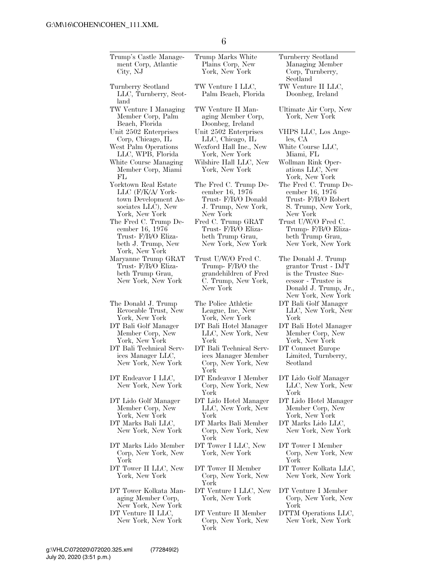| Trump's Castle Manage-<br>ment Corp, Atlantic<br>City, NJ                                                 | Trump Marks White<br>Plains Corp, New<br>York, New York                                               | Turnberry Scotland<br>Managing Member<br>Corp, Turnberry,<br>Scotland                                                                   |
|-----------------------------------------------------------------------------------------------------------|-------------------------------------------------------------------------------------------------------|-----------------------------------------------------------------------------------------------------------------------------------------|
| Turnberry Scotland<br>LLC, Turnberry, Scot-<br>land                                                       | TW Venture I LLC,<br>Palm Beach, Florida                                                              | TW Venture II LLC,<br>Doonbeg, Ireland                                                                                                  |
| TW Venture I Managing<br>Member Corp, Palm<br>Beach, Florida                                              | TW Venture II Man-<br>aging Member Corp,<br>Doonbeg, Ireland                                          | Ultimate Air Corp, New<br>York, New York                                                                                                |
| Unit 2502 Enterprises<br>Corp, Chicago, IL                                                                | Unit 2502 Enterprises<br>LLC, Chicago, IL                                                             | VHPS LLC, Los Ange-<br>les, CA                                                                                                          |
| West Palm Operations<br>LLC, WPB, Florida                                                                 | Wexford Hall Inc., New<br>York, New York                                                              | White Course LLC,<br>Miami, FL                                                                                                          |
| White Course Managing<br>Member Corp, Miami<br>FL                                                         | Wilshire Hall LLC, New<br>York, New York                                                              | Wollman Rink Oper-<br>ations LLC, New<br>York, New York                                                                                 |
| Yorktown Real Estate<br>LLC (F/K/A/ York-<br>town Development As-<br>sociates LLC), New<br>York, New York | The Fred C. Trump De-<br>cember 16, 1976<br>Trust- F/B/O Donald<br>J. Trump, New York,<br>New York    | The Fred C. Trump De-<br>cember 16, 1976<br>Trust- F/B/O Robert<br>S. Trump, New York,<br>New York                                      |
| The Fred C. Trump De-<br>cember 16, 1976<br>Trust- F/B/O Eliza-<br>beth J. Trump, New<br>York, New York   | Fred C. Trump GRAT<br>Trust- F/B/O Eliza-<br>beth Trump Grau,<br>New York, New York                   | Trust U/W/O Fred C.<br>Trump- F/B/O Eliza-<br>beth Trump Grau,<br>New York, New York                                                    |
| Maryanne Trump GRAT<br>Trust- F/B/O Eliza-<br>beth Trump Grau,<br>New York, New York                      | Trust U/W/O Fred C.<br>Trump- $F/B/O$ the<br>grandchildren of Fred<br>C. Trump, New York,<br>New York | The Donald J. Trump<br>grantor Trust - DJT<br>is the Trustee Suc-<br>cessor - Trustee is<br>Donald J. Trump, Jr.,<br>New York, New York |
| The Donald J. Trump<br>Revocable Trust, New<br>York, New York                                             | The Police Athletic<br>League, Inc, New<br>York, New York                                             | DT Bali Golf Manager<br>LLC, New York, New<br>York                                                                                      |
| DT Bali Golf Manager<br>Member Corp, New<br>York, New York                                                | DT Bali Hotel Manager<br>LLC, New York, New<br>York                                                   | DT Bali Hotel Manager<br>Member Corp, New<br>York, New York                                                                             |
| DT Bali Technical Serv-<br>ices Manager LLC,<br>New York, New York                                        | DT Bali Technical Serv-<br>ices Manager Member<br>Corp, New York, New<br>York                         | DT Connect Europe<br>Limited, Turnberry,<br>Scotland                                                                                    |
| DT Endeavor I LLC,<br>New York, New York                                                                  | DT Endeavor I Member<br>Corp, New York, New<br>York                                                   | DT Lido Golf Manager<br>LLC, New York, New<br>York                                                                                      |
| DT Lido Golf Manager<br>Member Corp, New<br>York, New York                                                | DT Lido Hotel Manager<br>LLC, New York, New<br>York                                                   | DT Lido Hotel Manager<br>Member Corp, New<br>York, New York                                                                             |
| DT Marks Bali LLC,<br>New York, New York                                                                  | DT Marks Bali Member<br>Corp, New York, New<br>York                                                   | DT Marks Lido LLC,<br>New York, New York                                                                                                |
| DT Marks Lido Member<br>Corp, New York, New<br>York                                                       | DT Tower I LLC, New<br>York, New York                                                                 | DT Tower I Member<br>Corp, New York, New<br>York                                                                                        |
| DT Tower II LLC, New<br>York, New York                                                                    | DT Tower II Member<br>Corp, New York, New<br>York                                                     | DT Tower Kolkata LLC,<br>New York, New York                                                                                             |
| DT Tower Kolkata Man-<br>aging Member Corp,<br>New York, New York                                         | DT Venture I LLC, New<br>York, New York                                                               | DT Venture I Member<br>Corp, New York, New<br>York                                                                                      |
| DT Venture II LLC,<br>New York, New York                                                                  | DT Venture II Member<br>Corp, New York, New<br>York                                                   | DTTM Operations LLC,<br>New York, New York                                                                                              |

6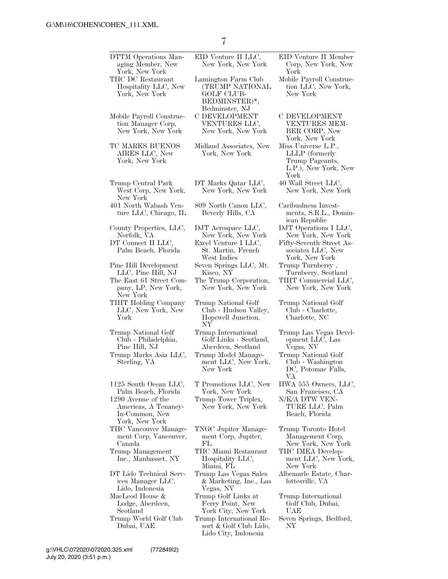| DTTM Operations Man-<br>aging Member, New                                                                                      | EID Venture II LLC,<br>New York, New York                                              | EID Venture II Member<br>Corp, New York, New                                                    |
|--------------------------------------------------------------------------------------------------------------------------------|----------------------------------------------------------------------------------------|-------------------------------------------------------------------------------------------------|
| York, New York<br>THC DC Restaurant<br>Hospitality LLC, New<br>York, New York                                                  | Lamington Farm Club<br>(TRUMP NATIONAL<br><b>GOLF CLUB-</b><br>BEDMINSTER)*,           | York<br>Mobile Payroll Construc-<br>tion LLC, New York,<br>New York                             |
| Mobile Payroll Construc-<br>tion Manager Corp,<br>New York, New York                                                           | Bedminster, NJ<br>C DEVELOPMENT<br>VENTURES LLC,<br>New York, New York                 | <b>C DEVELOPMENT</b><br>VENTURES MEM-<br>BER CORP, New<br>York, New York                        |
| TC MARKS BUENOS<br>AIRES LLC, New<br>York, New York                                                                            | Midland Associates, New<br>York, New York                                              | Miss Universe L.P.,<br>LLLP (formerly<br>Trump Pageants,<br>L.P.), New York, New<br>York        |
| Trump Central Park<br>West Corp, New York,<br>New York                                                                         | DT Marks Qatar LLC,<br>New York, New York                                              | 40 Wall Street LLC,<br>New York, New York                                                       |
| 401 North Wabash Ven-<br>ture LLC, Chicago, IL                                                                                 | 809 North Canon LLC,<br>Beverly Hills, CA                                              | Caribuslness Invest-<br>ments, S.R.L., Domin-<br>ican Republic                                  |
| County Properties, LLC,<br>Norfolk, VA<br>DT Connect II LLC,<br>Palm Beach, Florida                                            | DJT Aerospace LLC,<br>New York, New York<br>Excel Venture I LLC,<br>St. Martin, French | DJT Operations I LLC,<br>New York, New York<br>Fifty-Seventh Street As-<br>sociates LLC, New    |
| Pine Hill Development                                                                                                          | West Indies<br>Seven Springs LLC, Mt.                                                  | York, New York<br>Trump Turnberry,                                                              |
| LLC, Pine Hill, NJ<br>The East 61 Street Com-<br>pany, LP, New York,<br>New York                                               | Kisco, NY<br>The Trump Corporation,<br>New York, New York                              | Turnberry, Scotland<br>TIHT Commercial LLC,<br>New York, New York                               |
| TIHT Holding Company<br>LLC, New York, New<br>York                                                                             | Trump National Golf<br>Club - Hudson Valley,<br>Hopewell Junction,<br>NY               | Trump National Golf<br>Club - Charlotte,<br>Charlotte, NC                                       |
| Trump National Golf<br>Club - Philadelphia,<br>Pine Hill, NJ                                                                   | Trump International<br>Golf Links - Scotland,<br>Aberdeen, Scotland                    | Trump Las Vegas Devel-<br>opment LLC, Las<br>Vegas, NV                                          |
| Trump Marks Asia LLC,<br>Sterling, VA                                                                                          | Trump Model Manage-<br>ment LLC, New York,<br>New York                                 | Trump National Golf<br>Club - Washington<br>DC, Potomac Falls,<br>VА                            |
| 1125 South Ocean LLC,<br>Palm Beach, Florida<br>1290 Avenue of the<br>Americas, A Tenancy-<br>In-Common, New<br>York, New York | T Promotions LLC, New<br>York, New York<br>Trump Tower Triplex,<br>New York, New York  | HWA 555 Owners, LLC,<br>San Francisco, CA<br>N/K/A DTW VEN-<br>TURE LLC, Palm<br>Beach, Florida |
| THC Vancouver Manage-<br>ment Corp, Vancouver,<br>Canada<br>Trump Management                                                   | TNGC Jupiter Manage-<br>ment Corp, Jupiter,<br>FL<br>THC Miami Restaurant              | Trump Toronto Hotel<br>Management Corp,<br>New York, New York<br>THC IMEA Develop-              |
| Inc., Manhasset, NY<br>DT Lido Technical Serv-                                                                                 | Hospitality LLC,<br>Miami, FL<br>Trump Las Vegas Sales                                 | ment LLC, New York,<br>New York<br>Albemarle Estate, Char-                                      |
| ices Manager LLC,<br>Lido, Indonesia<br>MacLeod House &                                                                        | & Marketing, Inc., Las<br>Vegas, NV<br>Trump Golf Links at                             | lottesville, VA<br>Trump International                                                          |
| Lodge, Aberdeen,<br>Scotland<br>Trump World Golf Club                                                                          | Ferry Point, New<br>York City, New York<br>Trump International Re-                     | Golf Club, Dubai,<br>UAE<br>Seven Springs, Bedford,                                             |
| Dubai, UAE                                                                                                                     | sort & Golf Club Lido,<br>Lido City, Indonesia                                         | NΥ                                                                                              |

July 20, 2020 (3:51 p.m.) g:\VHLC\072020\072020.325.xml (772849|2)